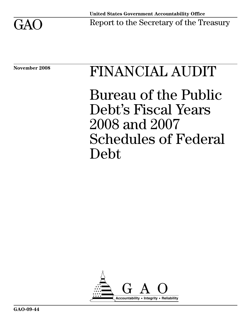

# November 2008 FINANCIAL AUDIT

Bureau of the Public Debt's Fiscal Years 2008 and 2007 Schedules of Federal Debt

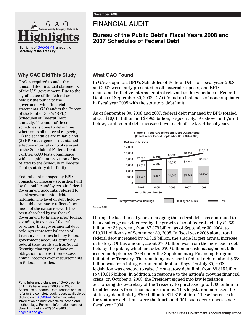

Highlights of [GAO-09-44](http://www.gao.gov/cgi-bin/getrpt?GAO-09-44), a report to Secretary of the Treasury

#### **Why GAO Did This Study**

GAO is required to audit the consolidated financial statements of the U.S. government. Due to the significance of the federal debt held by the public to the governmentwide financial statements, GAO audits the Bureau of the Public Debt's (BPD) Schedules of Federal Debt annually. The audit of these schedules is done to determine whether, in all material respects, (1) the schedules are reliable and (2) BPD management maintained effective internal control relevant to the Schedule of Federal Debt. Further, GAO tests compliance with a significant provision of law related to the Schedule of Federal Debt (statutory debt limit).

Federal debt managed by BPD consists of Treasury securities held by the public and by certain federal government accounts, referred to as intragovernmental debt holdings. The level of debt held by the public primarily reflects how much of the nation's wealth has been absorbed by the federal government to finance prior federal spending in excess of federal revenues. Intragovernmental debt holdings represent balances of Treasury securities held by federal government accounts, primarily federal trust funds such as Social Security, that typically have an obligation to invest their excess annual receipts over disbursements in federal securities.

For a fuller understanding of GAO's opinion on BPD's fiscal years 2008 and 2007 Schedules of Federal Debt, readers should refer to the complete audit report, available by clicking on [GAO-09-44,](http://www.gao.gov/cgi-bin/getrpt?GAO-09-44) Which includes information on audit objectives, scope and methodology. For more information, contact Gary T. Engel at (202) 512-3406 or [engelg@gao.gov.](mailto:engelg@gao.gov)

### FINANCIAL AUDIT

#### **Bureau of the Public Debt's Fiscal Years 2008 and 2007 Schedules of Federal Debt**

#### **What GAO Found**

In GAO's opinion, BPD's Schedules of Federal Debt for fiscal years 2008 and 2007 were fairly presented in all material respects, and BPD maintained effective internal control relevant to the Schedule of Federal Debt as of September 30, 2008. GAO found no instances of noncompliance in fiscal year 2008 with the statutory debt limit.

As of September 30, 2008 and 2007, federal debt managed by BPD totaled about \$10,011 billion and \$8,993 billion, respectively. As shown in figure 1 below, total federal debt increased over each of the last 4 fiscal years.



Source: BPD.

During the last 4 fiscal years, managing the federal debt has continued to be a challenge as evidenced by the growth of total federal debt by \$2,632 billion, or 36 percent, from \$7,379 billion as of September 30, 2004, to \$10,011 billion as of September 30, 2008. In fiscal year 2008 alone, total federal debt increased by \$1,018 billion, the single largest annual increase in history. Of this amount, about \$760 billion was from the increase in debt held by the public, which included \$300 billion in cash management bills issued in September 2008 under the Supplementary Financing Program initiated by Treasury. The remaining increase in federal debt of about \$258 billion was from intragovernmental debt holdings. On July 30, 2008, legislation was enacted to raise the statutory debt limit from \$9,815 billion to \$10,615 billion. In addition, in response to the nation's growing financial crisis, on October 3, 2008, the President signed into law legislation authorizing the Secretary of the Treasury to purchase up to \$700 billion in troubled assets from financial institutions. This legislation increased the statutory debt limit by \$700 billion to \$11,315 billion. These increases in the statutory debt limit were the fourth and fifth such occurrences since fiscal year 2004.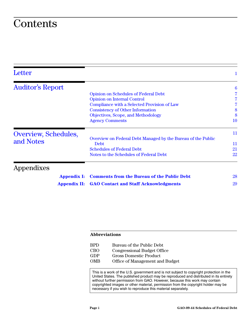### **Contents**

| Letter                  |                                                                             | 1               |
|-------------------------|-----------------------------------------------------------------------------|-----------------|
| <b>Auditor's Report</b> |                                                                             | $6\phantom{.}6$ |
|                         | <b>Opinion on Schedules of Federal Debt</b>                                 |                 |
|                         | <b>Opinion on Internal Control</b>                                          |                 |
|                         | Compliance with a Selected Provision of Law                                 |                 |
|                         | <b>Consistency of Other Information</b>                                     | 8               |
|                         | Objectives, Scope, and Methodology                                          | 8               |
|                         | <b>Agency Comments</b>                                                      | 10              |
| Overview, Schedules,    |                                                                             | 11              |
| and Notes               | Overview on Federal Debt Managed by the Bureau of the Public<br><b>Debt</b> | 11              |
|                         | <b>Schedules of Federal Debt</b>                                            | 21              |
|                         | Notes to the Schedules of Federal Debt                                      | 22              |
| Appendixes              |                                                                             |                 |
| <b>Appendix I:</b>      | <b>Comments from the Bureau of the Public Debt</b>                          | 28              |
| <b>Appendix II:</b>     | <b>GAO Contact and Staff Acknowledgments</b>                                | 29              |

#### **Abbreviations**

| <b>BPD</b> | Bureau of the Public Debt          |
|------------|------------------------------------|
| <b>CBO</b> | <b>Congressional Budget Office</b> |
| GDP        | Gross Domestic Product             |
| <b>OMB</b> | Office of Management and Budget    |

This is a work of the U.S. government and is not subject to copyright protection in the United States. The published product may be reproduced and distributed in its entirety without further permission from GAO. However, because this work may contain copyrighted images or other material, permission from the copyright holder may be necessary if you wish to reproduce this material separately.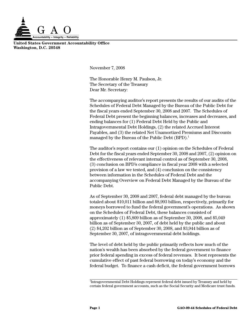

**United States Government Accountability Office Washington, D.C. 20548**

<span id="page-3-0"></span>November 7, 2008

The Honorable Henry M. Paulson, Jr. The Secretary of the Treasury Dear Mr. Secretary:

The accompanying auditor's report presents the results of our audits of the Schedules of Federal Debt Managed by the Bureau of the Public Debt for the fiscal years ended September 30, 2008 and 2007. The Schedules of Federal Debt present the beginning balances, increases and decreases, and ending balances for (1) Federal Debt Held by the Public and Intragovernmental Debt Holdings, (2) the related Accrued Interest Payables, and (3) the related Net Unamortized Premiums and Discounts managed by the Bureau of the Public Debt  $(BPD).<sup>1</sup>$ 

The auditor's report contains our (1) opinion on the Schedules of Federal Debt for the fiscal years ended September 30, 2008 and 2007, (2) opinion on the effectiveness of relevant internal control as of September 30, 2008, (3) conclusion on BPD's compliance in fiscal year 2008 with a selected provision of a law we tested, and (4) conclusion on the consistency between information in the Schedules of Federal Debt and the accompanying Overview on Federal Debt Managed by the Bureau of the Public Debt.

As of September 30, 2008 and 2007, federal debt managed by the bureau totaled about \$10,011 billion and \$8,993 billion, respectively, primarily for moneys borrowed to fund the federal government's operations. As shown on the Schedules of Federal Debt, these balances consisted of approximately (1) \$5,809 billion as of September 30, 2008, and \$5,049 billion as of September 30, 2007, of debt held by the public and about (2) \$4,202 billion as of September 30, 2008, and \$3,944 billion as of September 30, 2007, of intragovernmental debt holdings.

The level of debt held by the public primarily reflects how much of the nation's wealth has been absorbed by the federal government to finance prior federal spending in excess of federal revenues. It best represents the cumulative effect of past federal borrowing on today's economy and the federal budget. To finance a cash deficit, the federal government borrows

<sup>&</sup>lt;sup>1</sup>Intragovernmental Debt Holdings represent federal debt issued by Treasury and held by certain federal government accounts, such as the Social Security and Medicare trust funds.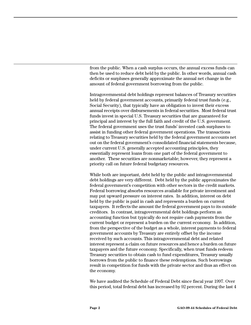from the public. When a cash surplus occurs, the annual excess funds can then be used to reduce debt held by the public. In other words, annual cash deficits or surpluses generally approximate the annual net change in the amount of federal government borrowing from the public.

Intragovernmental debt holdings represent balances of Treasury securities held by federal government accounts, primarily federal trust funds (e.g., Social Security), that typically have an obligation to invest their excess annual receipts over disbursements in federal securities. Most federal trust funds invest in special U.S. Treasury securities that are guaranteed for principal and interest by the full faith and credit of the U.S. government. The federal government uses the trust funds' invested cash surpluses to assist in funding other federal government operations. The transactions relating to Treasury securities held by the federal government accounts net out on the federal government's consolidated financial statements because, under current U.S. generally accepted accounting principles, they essentially represent loans from one part of the federal government to another. These securities are nonmarketable; however, they represent a priority call on future federal budgetary resources.

While both are important, debt held by the public and intragovernmental debt holdings are very different. Debt held by the public approximates the federal government's competition with other sectors in the credit markets. Federal borrowing absorbs resources available for private investment and may put upward pressure on interest rates. In addition, interest on debt held by the public is paid in cash and represents a burden on current taxpayers. It reflects the amount the federal government pays to its outside creditors. In contrast, intragovernmental debt holdings perform an accounting function but typically do not require cash payments from the current budget or represent a burden on the current economy. In addition, from the perspective of the budget as a whole, interest payments to federal government accounts by Treasury are entirely offset by the income received by such accounts. This intragovernmental debt and related interest represent a claim on future resources and hence a burden on future taxpayers and the future economy. Specifically, when trust funds redeem Treasury securities to obtain cash to fund expenditures, Treasury usually borrows from the public to finance these redemptions. Such borrowings result in competition for funds with the private sector and thus an effect on the economy.

We have audited the Schedule of Federal Debt since fiscal year 1997. Over this period, total federal debt has increased by 92 percent. During the last 4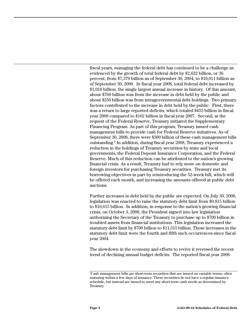fiscal years, managing the federal debt has continued to be a challenge as evidenced by the growth of total federal debt by \$2,632 billion, or 36 percent, from \$7,379 billion as of September 30, 2004, to \$10,011 billion as of September 30, 2008. In fiscal year 2008, total federal debt increased by \$1,018 billion, the single largest annual increase in history. Of this amount, about \$760 billion was from the increase in debt held by the public and about \$258 billion was from intragovernmental debt holdings. Two primary factors contributed to the increase in debt held by the public. First, there was a return to large reported deficits, which totaled \$455 billion in fiscal year 2008 compared to \$162 billion in fiscal year 2007. Second, at the request of the Federal Reserve, Treasury initiated the Supplementary Financing Program. As part of this program, Treasury issued cash management bills to provide cash for Federal Reserve initiatives. As of September 30, 2008, there were \$300 billion of these cash management bills outstanding.2 In addition, during fiscal year 2008, Treasury experienced a reduction in the holdings of Treasury securities by state and local governments, the Federal Deposit Insurance Corporation, and the Federal Reserve. Much of this reduction can be attributed to the nation's growing financial crisis. As a result, Treasury had to rely more on domestic and foreign investors for purchasing Treasury securities. Treasury met its borrowing objectives in part by reintroducing the 52-week bill, which will be offered each month, and increasing the amounts offered at public debt auctions.

Further increases in debt held by the public are expected. On July 30, 2008, legislation was enacted to raise the statutory debt limit from \$9,815 billion to \$10,615 billion. In addition, in response to the nation's growing financial crisis, on October 3, 2008, the President signed into law legislation authorizing the Secretary of the Treasury to purchase up to \$700 billion in troubled assets from financial institutions. This legislation increased the statutory debt limit by \$700 billion to \$11,315 billion. These increases in the statutory debt limit were the fourth and fifth such occurrences since fiscal year 2004.

The slowdown in the economy and efforts to revive it reversed the recent trend of declining annual budget deficits. The reported fiscal year 2008

 $2$ Cash management bills are short-term securities that are issued on variable terms, often maturing within a few days of issuance. These securities do not have a regular issuance schedule, but instead are issued to meet any short-term cash needs as determined by Treasury.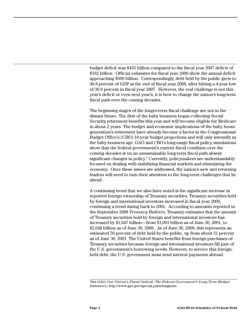budget deficit was \$455 billion compared to the fiscal year 2007 deficit of \$162 billion. Official estimates for fiscal year 2009 show the annual deficit approaching \$500 billion. Correspondingly, debt held by the public grew to 40.8 percent of GDP at the end of fiscal year 2008, after hitting a 4-year low of 36.8 percent in fiscal year 2007. However, the real challenge is not this year's deficit or even next year's; it is how to change the nation's long-term fiscal path over the coming decades.

The beginning stages of the longer-term fiscal challenge are not in the distant future. The first of the baby boomers began collecting Social Security retirement benefits this year and will become eligible for Medicare in about 2 years. The budget and economic implications of the baby boom generation's retirement have already become a factor in the Congressional Budget Office's (CBO) 10-year budget projections and will only intensify as the baby boomers age. GAO and CBO's long-range fiscal policy simulations show that the federal government's current fiscal condition over the coming decades is on an unsustainable long-term fiscal path absent significant changes in policy.<sup>3</sup> Currently, policymakers are understandably focused on dealing with stabilizing financial markets and stimulating the economy. Once these issues are addressed, the nation's new and returning leaders will need to turn their attention to the long-term challenges that lie ahead.

A continuing trend that we also have noted is the significant increase in reported foreign ownership of Treasury securities. Treasury securities held by foreign and international investors increased in fiscal year 2008, continuing a trend dating back to 2001. According to amounts reported in the September 2008 *Treasury Bulletin*, Treasury estimates that the amount of Treasury securities held by foreign and international investors has increased by \$1,647 billion—from \$1,001 billion as of June 30, 2001, to \$2,648 billion as of June 30, 2008. As of June 30, 2008, this represents an estimated 50 percent of debt held by the public, up from about 31 percent as of June 30, 2001. The United States benefits from foreign purchases of Treasury securities because foreign and international investors fill part of the U.S. government's borrowing needs. However, to service this foreignheld debt, the U.S. government must send interest payments abroad.

<sup>3</sup> See GAO, *Our Nation's Fiscal Outlook: The Federal Government's Long-Term Budget Imbalance*, http://www.gao.gov/special.pubs/longterm.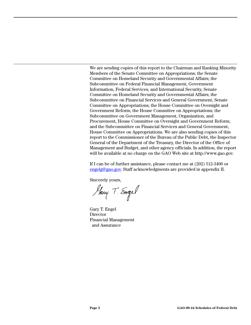We are sending copies of this report to the Chairman and Ranking Minority Members of the Senate Committee on Appropriations; the Senate Committee on Homeland Security and Governmental Affairs; the Subcommittee on Federal Financial Management, Government Information, Federal Services, and International Security, Senate Committee on Homeland Security and Governmental Affairs; the Subcommittee on Financial Services and General Government, Senate Committee on Appropriations; the House Committee on Oversight and Government Reform; the House Committee on Appropriations; the Subcommittee on Government Management, Organization, and Procurement, House Committee on Oversight and Government Reform; and the Subcommittee on Financial Services and General Government, House Committee on Appropriations. We are also sending copies of this report to the Commissioner of the Bureau of the Public Debt, the Inspector General of the Department of the Treasury, the Director of the Office of Management and Budget, and other agency officials. In addition, the report will be available at no charge on the GAO Web site at http://www.gao.gov.

If I can be of further assistance, please contact me at (202) 512-3406 or [engelg@gao.gov.](mailto:engelg@gao.gov) Staff acknowledgments are provided in appendix II.

Sincerely yours,

Harry T. Engel

Gary T. Engel Director Financial Management and Assurance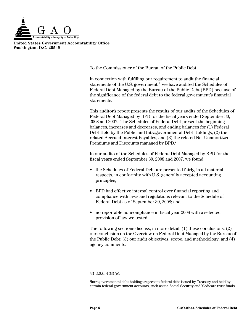

**United States Government Accountability Office Washington, D.C. 20548**

<span id="page-8-0"></span>To the Commissioner of the Bureau of the Public Debt

In connection with fulfilling our requirement to audit the financial statements of the U.S. government, $<sup>1</sup>$  we have audited the Schedules of</sup> Federal Debt Managed by the Bureau of the Public Debt (BPD) because of the significance of the federal debt to the federal government's financial statements.

This auditor's report presents the results of our audits of the Schedules of Federal Debt Managed by BPD for the fiscal years ended September 30, 2008 and 2007. The Schedules of Federal Debt present the beginning balances, increases and decreases, and ending balances for (1) Federal Debt Held by the Public and Intragovernmental Debt Holdings, (2) the related Accrued Interest Payables, and (3) the related Net Unamortized Premiums and Discounts managed by BPD.<sup>2</sup>

In our audits of the Schedules of Federal Debt Managed by BPD for the fiscal years ended September 30, 2008 and 2007, we found

- the Schedules of Federal Debt are presented fairly, in all material respects, in conformity with U.S. generally accepted accounting principles;
- BPD had effective internal control over financial reporting and compliance with laws and regulations relevant to the Schedule of Federal Debt as of September 30, 2008; and
- no reportable noncompliance in fiscal year 2008 with a selected provision of law we tested.

The following sections discuss, in more detail, (1) these conclusions; (2) our conclusion on the Overview on Federal Debt Managed by the Bureau of the Public Debt; (3) our audit objectives, scope, and methodology; and (4) agency comments.

<sup>1</sup> 31 U.S.C. § 331(e).

 $2$ Intragovernmental debt holdings represent federal debt issued by Treasury and held by certain federal government accounts, such as the Social Security and Medicare trust funds.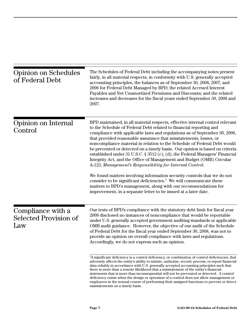<span id="page-9-2"></span><span id="page-9-1"></span><span id="page-9-0"></span>

| <b>Opinion on Schedules</b><br>of Federal Debt           | The Schedules of Federal Debt including the accompanying notes present<br>fairly, in all material respects, in conformity with U.S. generally accepted<br>accounting principles, the balances as of September 30, 2008, 2007, and<br>2006 for Federal Debt Managed by BPD; the related Accrued Interest<br>Payables and Net Unamortized Premiums and Discounts; and the related<br>increases and decreases for the fiscal years ended September 30, 2008 and<br>2007.                                                                                                                                                                                                                                                                                                                                                                                                                                                                                                                                                                                                                                                                                                                                                                                   |
|----------------------------------------------------------|---------------------------------------------------------------------------------------------------------------------------------------------------------------------------------------------------------------------------------------------------------------------------------------------------------------------------------------------------------------------------------------------------------------------------------------------------------------------------------------------------------------------------------------------------------------------------------------------------------------------------------------------------------------------------------------------------------------------------------------------------------------------------------------------------------------------------------------------------------------------------------------------------------------------------------------------------------------------------------------------------------------------------------------------------------------------------------------------------------------------------------------------------------------------------------------------------------------------------------------------------------|
| Opinion on Internal<br>Control                           | BPD maintained, in all material respects, effective internal control relevant<br>to the Schedule of Federal Debt related to financial reporting and<br>compliance with applicable laws and regulations as of September 30, 2008,<br>that provided reasonable assurance that misstatements, losses, or<br>noncompliance material in relation to the Schedule of Federal Debt would<br>be prevented or detected on a timely basis. Our opinion is based on criteria<br>established under 31 U.S.C. $\S 3512$ (c), (d), the Federal Managers' Financial<br>Integrity Act, and the Office of Management and Budget (OMB) Circular<br>A-123, Management's Responsibility for Internal Control.<br>We found matters involving information security controls that we do not<br>consider to be significant deficiencies. <sup>3</sup> We will communicate these<br>matters to BPD's management, along with our recommendations for<br>improvement, in a separate letter to be issued at a later date.                                                                                                                                                                                                                                                           |
| Compliance with a<br><b>Selected Provision of</b><br>Law | Our tests of BPD's compliance with the statutory debt limit for fiscal year<br>2008 disclosed no instances of noncompliance that would be reportable<br>under U.S. generally accepted government auditing standards or applicable<br>OMB audit guidance. However, the objective of our audit of the Schedule<br>of Federal Debt for the fiscal year ended September 30, 2008, was not to<br>provide an opinion on overall compliance with laws and regulations.<br>Accordingly, we do not express such an opinion.<br><sup>3</sup> A significant deficiency is a control deficiency, or combination of control deficiencies, that<br>adversely affects the entity's ability to initiate, authorize, record, process, or report financial<br>data reliably in accordance with U.S. generally accepted accounting principles such that<br>there is more than a remote likelihood that a misstatement of the entity's financial<br>statements that is more than inconsequential will not be prevented or detected. A control<br>deficiency exists when the design or operation of a control does not allow management or<br>employees in the normal course of performing their assigned functions to prevent or detect<br>misstatements on a timely basis. |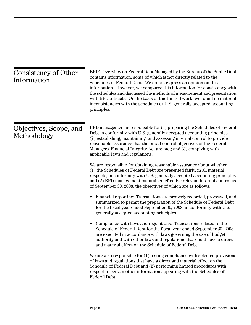<span id="page-10-1"></span><span id="page-10-0"></span>

| Consistency of Other<br>Information   | BPD's Overview on Federal Debt Managed by the Bureau of the Public Debt<br>contains information, some of which is not directly related to the<br>Schedules of Federal Debt. We do not express an opinion on this<br>information. However, we compared this information for consistency with<br>the schedules and discussed the methods of measurement and presentation<br>with BPD officials. On the basis of this limited work, we found no material<br>inconsistencies with the schedules or U.S. generally accepted accounting<br>principles. |
|---------------------------------------|--------------------------------------------------------------------------------------------------------------------------------------------------------------------------------------------------------------------------------------------------------------------------------------------------------------------------------------------------------------------------------------------------------------------------------------------------------------------------------------------------------------------------------------------------|
| Objectives, Scope, and<br>Methodology | BPD management is responsible for (1) preparing the Schedules of Federal<br>Debt in conformity with U.S. generally accepted accounting principles;<br>(2) establishing, maintaining, and assessing internal control to provide<br>reasonable assurance that the broad control objectives of the Federal<br>Managers' Financial Integrity Act are met; and (3) complying with<br>applicable laws and regulations.                                                                                                                                 |
|                                       | We are responsible for obtaining reasonable assurance about whether<br>(1) the Schedules of Federal Debt are presented fairly, in all material<br>respects, in conformity with U.S. generally accepted accounting principles<br>and (2) BPD management maintained effective relevant internal control as<br>of September 30, 2008, the objectives of which are as follows:                                                                                                                                                                       |
|                                       | Financial reporting: Transactions are properly recorded, processed, and<br>$\bullet$<br>summarized to permit the preparation of the Schedule of Federal Debt<br>for the fiscal year ended September 30, 2008, in conformity with U.S.<br>generally accepted accounting principles.                                                                                                                                                                                                                                                               |
|                                       | Compliance with laws and regulations: Transactions related to the<br>Schedule of Federal Debt for the fiscal year ended September 30, 2008,<br>are executed in accordance with laws governing the use of budget<br>authority and with other laws and regulations that could have a direct<br>and material effect on the Schedule of Federal Debt.                                                                                                                                                                                                |
|                                       | We are also responsible for $(1)$ testing compliance with selected provisions<br>of laws and regulations that have a direct and material effect on the<br>Schedule of Federal Debt and (2) performing limited procedures with<br>respect to certain other information appearing with the Schedules of<br>Federal Debt.                                                                                                                                                                                                                           |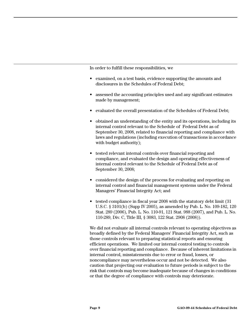In order to fulfill these responsibilities, we

- examined, on a test basis, evidence supporting the amounts and disclosures in the Schedules of Federal Debt;
- assessed the accounting principles used and any significant estimates made by management;
- evaluated the overall presentation of the Schedules of Federal Debt;
- obtained an understanding of the entity and its operations, including its internal control relevant to the Schedule of Federal Debt as of September 30, 2008, related to financial reporting and compliance with laws and regulations (including execution of transactions in accordance with budget authority);
- tested relevant internal controls over financial reporting and compliance, and evaluated the design and operating effectiveness of internal control relevant to the Schedule of Federal Debt as of September 30, 2008;
- considered the design of the process for evaluating and reporting on internal control and financial management systems under the Federal Managers' Financial Integrity Act; and
- tested compliance in fiscal year 2008 with the statutory debt limit (31) U.S.C. § 3101(b) (Supp IV 2005), as amended by Pub. L. No. 109-182, 120 Stat. 289 (2006), Pub. L. No. 110-91, 121 Stat. 988 (2007), and Pub. L. No. 110-289, Div. C, Title III, § 3083, 122 Stat. 2908 (2008)).

We did not evaluate all internal controls relevant to operating objectives as broadly defined by the Federal Managers' Financial Integrity Act, such as those controls relevant to preparing statistical reports and ensuring efficient operations. We limited our internal control testing to controls over financial reporting and compliance. Because of inherent limitations in internal control, misstatements due to error or fraud, losses, or noncompliance may nevertheless occur and not be detected. We also caution that projecting our evaluation to future periods is subject to the risk that controls may become inadequate because of changes in conditions or that the degree of compliance with controls may deteriorate.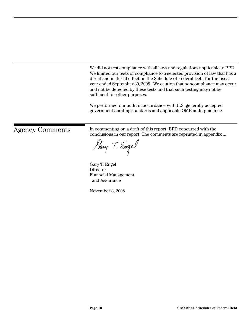We did not test compliance with all laws and regulations applicable to BPD. We limited our tests of compliance to a selected provision of law that has a direct and material effect on the Schedule of Federal Debt for the fiscal year ended September 30, 2008. We caution that noncompliance may occur and not be detected by these tests and that such testing may not be sufficient for other purposes.

We performed our audit in accordance with U.S. generally accepted government auditing standards and applicable OMB audit guidance.

<span id="page-12-0"></span>Agency Comments In commenting on a draft of this report, BPD concurred with the conclusions in our report. The comments are reprinted in appendix 1.

Harry T. Engel

Gary T. Engel **Director** Financial Management and Assurance

November 3, 2008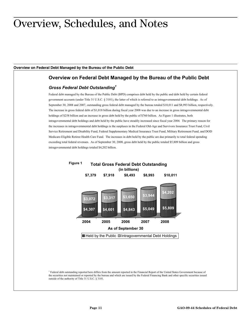### <span id="page-13-0"></span>Overview, Schedules, and Notes

#### <span id="page-13-1"></span>**Overview on Federal Debt Managed by the Bureau of the Public Debt**

#### **Overview on Federal Debt Managed by the Bureau of the Public Debt**

#### *Gross Federal Debt Outstanding1*

Federal debt managed by the Bureau of the Public Debt (BPD) comprises debt held by the public and debt held by certain federal government accounts (under Title 31 U.S.C. § 3101), the latter of which is referred to as intragovernmental debt holdings. As of September 30, 2008 and 2007, outstanding gross federal debt managed by the bureau totaled \$10,011 and \$8,993 billion, respectively. The increase in gross federal debt of \$1,018 billion during fiscal year 2008 was due to an increase in gross intragovernmental debt holdings of \$258 billion and an increase in gross debt held by the public of \$760 billion. As Figure 1 illustrates, both intragovernmental debt holdings and debt held by the public have steadily increased since fiscal year 2004. The primary reason for the increases in intragovernmental debt holdings is the surpluses in the Federal Old-Age and Survivors Insurance Trust Fund, Civil Service Retirement and Disability Fund, Federal Supplementary Medical Insurance Trust Fund, Military Retirement Fund, and DOD Medicare-Eligible Retiree Health Care Fund. The increases in debt held by the public are due primarily to total federal spending exceeding total federal revenues. As of September 30, 2008, gross debt held by the public totaled \$5,809 billion and gross intragovernmental debt holdings totaled \$4,202 billion.



<sup>1</sup> Federal debt outstanding reported here differs from the amount reported in the Financial Report of the United States Government because of the securities not maintained or reported by the bureau and which are issued by the Federal Financing Bank and other specific securities issued outside of the authority of Title 31 U.S.C. § 3101.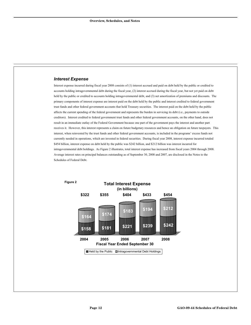#### *Interest Expense*

Interest expense incurred during fiscal year 2008 consists of (1) interest accrued and paid on debt held by the public or credited to accounts holding intragovernmental debt during the fiscal year, (2) interest accrued during the fiscal year, but not yet paid on debt held by the public or credited to accounts holding intragovernmental debt, and (3) net amortization of premiums and discounts. The primary components of interest expense are interest paid on the debt held by the public and interest credited to federal government trust funds and other federal government accounts that hold Treasury securities. The interest paid on the debt held by the public affects the current spending of the federal government and represents the burden in servicing its debt (i.e., payments to outside creditors). Interest credited to federal government trust funds and other federal government accounts, on the other hand, does not result in an immediate outlay of the Federal Government because one part of the government pays the interest and another part receives it. However, this interest represents a claim on future budgetary resources and hence an obligation on future taxpayers. This interest, when reinvested by the trust funds and other federal government accounts, is included in the programs' excess funds not currently needed in operations, which are invested in federal securities. During fiscal year 2008, interest expense incurred totaled \$454 billion, interest expense on debt held by the public was \$242 billion, and \$212 billion was interest incurred for intragovernmental debt holdings. As Figure 2 illustrates, total interest expense has increased from fiscal years 2004 through 2008. Average interest rates on principal balances outstanding as of September 30, 2008 and 2007, are disclosed in the Notes to the Schedules of Federal Debt.

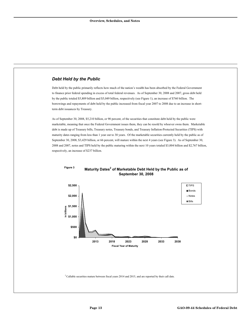#### *Debt Held by the Public*

Debt held by the public primarily reflects how much of the nation's wealth has been absorbed by the Federal Government to finance prior federal spending in excess of total federal revenues. As of September 30, 2008 and 2007, gross debt held by the public totaled \$5,809 billion and \$5,049 billion, respectively (see Figure 1), an increase of \$760 billion. The borrowings and repayments of debt held by the public increased from fiscal year 2007 to 2008 due to an increase in shortterm debt issuances by Treasury.

As of September 30, 2008, \$5,210 billion, or 90 percent, of the securities that constitute debt held by the public were marketable, meaning that once the Federal Government issues them, they can be resold by whoever owns them. Marketable debt is made up of Treasury bills, Treasury notes, Treasury bonds, and Treasury Inflation-Protected Securities (TIPS) with maturity dates ranging from less than 1 year out to 30 years. Of the marketable securities currently held by the public as of September 30, 2008, \$3,429 billion, or 66 percent, will mature within the next 4 years (see Figure 3). As of September 30, 2008 and 2007, notes and TIPS held by the public maturing within the next 10 years totaled \$3,004 billion and \$2,767 billion, respectively, an increase of \$237 billion.



#### **Maturity Dates<sup>2</sup> of Marketable Debt Held by the Public as of September 30, 2008 Figure 3**

 $2$  Callable securities mature between fiscal years 2014 and 2015, and are reported by their call date.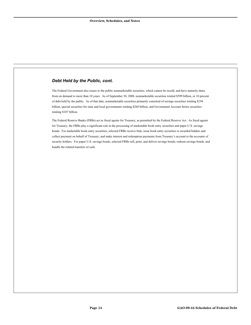#### *Debt Held by the Public, cont.*

The Federal Government also issues to the public nonmarketable securities, which cannot be resold, and have maturity dates from on demand to more than 10 years. As of September 30, 2008, nonmarketable securities totaled \$599 billion, or 10 percent of debt held by the public. As of that date, nonmarketable securities primarily consisted of savings securities totaling \$194 billion, special securities for state and local governments totaling \$260 billion, and Government Account Series securities totaling \$107 billion.

The Federal Reserve Banks (FRBs) act as fiscal agents for Treasury, as permitted by the Federal Reserve Act. As fiscal agents for Treasury, the FRBs play a significant role in the processing of marketable book-entry securities and paper U.S. savings bonds. For marketable book-entry securities, selected FRBs receive bids; issue book-entry securities to awarded bidders and collect payment on behalf of Treasury; and make interest and redemption payments from Treasury's account to the accounts of security holders. For paper U.S. savings bonds, selected FRBs sell, print, and deliver savings bonds; redeem savings bonds; and handle the related transfers of cash.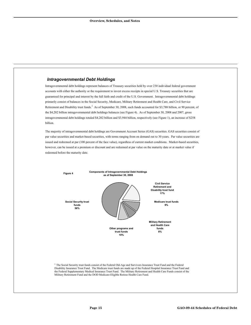#### *Intragovernmental Debt Holdings*

Intragovernmental debt holdings represent balances of Treasury securities held by over 230 individual federal government accounts with either the authority or the requirement to invest excess receipts in special U.S. Treasury securities that are guaranteed for principal and interest by the full faith and credit of the U.S. Government. Intragovernmental debt holdings primarily consist of balances in the Social Security, Medicare, Military Retirement and Health Care, and Civil Service Retirement and Disability trust funds.<sup>3</sup> As of September 30, 2008, such funds accounted for \$3,788 billion, or 90 percent, of the \$4,202 billion intragovernmental debt holdings balances (see Figure 4). As of September 30, 2008 and 2007, gross intragovernmental debt holdings totaled \$4,202 billion and \$3,944 billion, respectively (see Figure 1), an increase of \$258 billion.

The majority of intragovernmental debt holdings are Government Account Series (GAS) securities. GAS securities consist of par value securities and market-based securities, with terms ranging from on demand out to 30 years. Par value securities are issued and redeemed at par (100 percent of the face value), regardless of current market conditions. Market-based securities, however, can be issued at a premium or discount and are redeemed at par value on the maturity date or at market value if redeemed before the maturity date.



<sup>3</sup> The Social Security trust funds consist of the Federal Old-Age and Survivors Insurance Trust Fund and the Federal Disability Insurance Trust Fund. The Medicare trust funds are made up of the Federal Hospital Insurance Trust Fund and the Federal Supplementary Medical Insurance Trust Fund. The Military Retirement and Health Care Funds consist of the Military Retirement Fund and the DOD Medicare-Eligible Retiree Health Care Fund.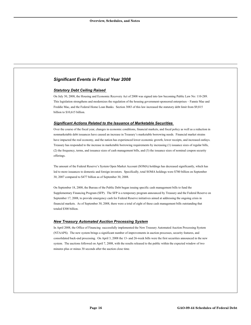#### *Significant Events in Fiscal Year 2008*

#### *Statutory Debt Ceiling Raised*

On July 30, 2008, the Housing and Economic Recovery Act of 2008 was signed into law becoming Public Law No: 110-289. This legislation strengthens and modernizes the regulation of the housing government-sponsored enterprises – Fannie Mae and Freddie Mac, and the Federal Home Loan Banks. Section 3083 of this law increased the statutory debt limit from \$9,815 billion to \$10,615 billion.

#### *Significant Actions Related to the Issuance of Marketable Securities*

Over the course of the fiscal year, changes in economic conditions, financial markets, and fiscal policy as well as a reduction in nonmarketable debt issuances have caused an increase in Treasury's marketable borrowing needs. Financial market strains have impacted the real economy, and the nation has experienced lower economic growth, lower receipts, and increased outlays. Treasury has responded to the increase in marketable borrowing requirements by increasing (1) issuance sizes of regular bills, (2) the frequency, terms, and issuance sizes of cash management bills, and (3) the issuance sizes of nominal coupon security offerings.

The amount of the Federal Reserve's System Open Market Account (SOMA) holdings has decreased significantly, which has led to more issuances to domestic and foreign investors. Specifically, total SOMA holdings were \$780 billion on September 30, 2007 compared to \$477 billion as of September 30, 2008.

On September 18, 2008, the Bureau of the Public Debt began issuing specific cash management bills to fund the Supplementary Financing Program (SFP). The SFP is a temporary program announced by Treasury and the Federal Reserve on September 17, 2008, to provide emergency cash for Federal Reserve initiatives aimed at addressing the ongoing crisis in financial markets. As of September 30, 2008, there were a total of eight of these cash management bills outstanding that totaled \$300 billion.

#### *New Treasury Automated Auction Processing System*

In April 2008, the Office of Financing successfully implemented the New Treasury Automated Auction Processing System (NTAAPS). The new system brings a significant number of improvements in auction processes, security features, and consolidated back-end processing. On April 3, 2008 the 13- and 26-week bills were the first securities announced in the new system. The auctions followed on April 7, 2008, with the results released to the public within the expected window of two minutes plus or minus 30 seconds after the auction close time.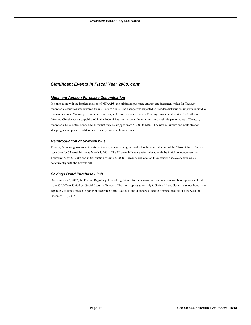#### *Significant Events in Fiscal Year 2008, cont.*

#### *Minimum Auction Purchase Denomination*

In connection with the implementation of NTAAPS, the minimum purchase amount and increment value for Treasury marketable securities was lowered from \$1,000 to \$100. The change was expected to broaden distribution, improve individual investor access to Treasury marketable securities, and lower issuance costs to Treasury. An amendment to the Uniform Offering Circular was also published in the Federal Register to lower the minimum and multiple par amounts of Treasury marketable bills, notes, bonds and TIPS that may be stripped from \$1,000 to \$100. The new minimum and multiples for stripping also applies to outstanding Treasury marketable securities.

#### *Reintroduction of 52-week bills*

Treasury's ongoing assessment of its debt management strategies resulted in the reintroduction of the 52-week bill. The last issue date for 52-week bills was March 1, 2001. The 52-week bills were reintroduced with the initial announcement on Thursday, May 29, 2008 and initial auction of June 3, 2008. Treasury will auction this security once every four weeks, concurrently with the 4-week bill.

#### *Savings Bond Purchase Limit*

On December 3, 2007, the Federal Register published regulations for the change in the annual savings bonds purchase limit from \$30,000 to \$5,000 per Social Security Number. The limit applies separately to Series EE and Series I savings bonds, and separately to bonds issued in paper or electronic form. Notice of the change was sent to financial institutions the week of December 10, 2007.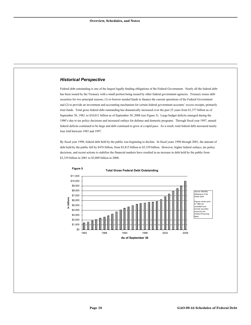#### *Historical Perspective*

**Figure 5**

Federal debt outstanding is one of the largest legally binding obligations of the Federal Government. Nearly all the federal debt has been issued by the Treasury with a small portion being issued by other federal government agencies. Treasury issues debt securities for two principal reasons, (1) to borrow needed funds to finance the current operations of the Federal Government and (2) to provide an investment and accounting mechanism for certain federal government accounts' excess receipts, primarily trust funds. Total gross federal debt outstanding has dramatically increased over the past 25 years from \$1,377 billion as of September 30, 1983, to \$10,011 billion as of September 30, 2008 (see Figure 5). Large budget deficits emerged during the 1980's due to tax policy decisions and increased outlays for defense and domestic programs. Through fiscal year 1997, annual federal deficits continued to be large and debt continued to grow at a rapid pace. As a result, total federal debt increased nearly four fold between 1983 and 1997.

By fiscal year 1998, federal debt held by the public was beginning to decline. In fiscal years 1998 through 2001, the amount of debt held by the public fell by \$476 billion, from \$3,815 billion to \$3,339 billion. However, higher federal outlays, tax policy decisions, and recent actions to stabilize the financial markets have resulted in an increase in debt held by the public from \$3,339 billion in 2001 to \$5,809 billion in 2008.



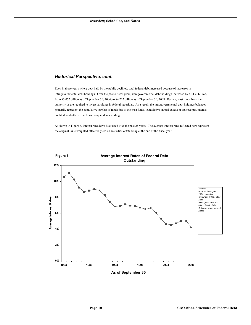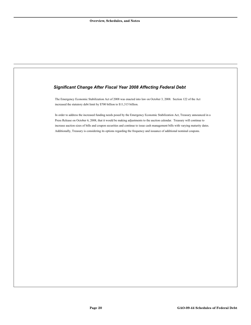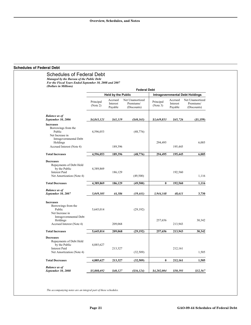#### <span id="page-23-0"></span>**Schedules of Federal Debt**

|                                                                                                                                         | <b>Federal Debt</b>       |                                |                                             |                                        |                                |                                             |
|-----------------------------------------------------------------------------------------------------------------------------------------|---------------------------|--------------------------------|---------------------------------------------|----------------------------------------|--------------------------------|---------------------------------------------|
|                                                                                                                                         | <b>Held by the Public</b> |                                |                                             | <b>Intragovernmental Debt Holdings</b> |                                |                                             |
|                                                                                                                                         | Principal<br>(Note 2)     | Accrued<br>Interest<br>Payable | Net Unamortized<br>Premiums/<br>(Discounts) | Principal<br>(Note 3)                  | Accrued<br>Interest<br>Payable | Net Unamortized<br>Premiums/<br>(Discounts) |
| <b>Balance as of</b><br>September 30, 2006                                                                                              | \$4,843,121               | \$41,119                       | ( \$40, 165)                                | \$3,649,853                            | \$45,726                       | (51, 159)                                   |
| <b>Increases</b><br>Borrowings from the<br>Public<br>Net Increase in<br>Intragovernmental Debt<br>Holdings                              | 4,596,053                 |                                | (48, 776)                                   | 294,495                                |                                | 6,005                                       |
| Accrued Interest (Note 4)                                                                                                               |                           | 189,396                        |                                             |                                        | 195,445                        |                                             |
| <b>Total Increases</b>                                                                                                                  | 4,596,053                 | 189,396                        | (48, 776)                                   | 294,495                                | 195,445                        | 6,005                                       |
| <b>Decreases</b><br>Repayments of Debt Held<br>by the Public<br><b>Interest Paid</b><br>Net Amortization (Note 4)                       | 4,389,869                 | 186,129                        | (49,500)                                    |                                        | 192,560                        | 1,116                                       |
| <b>Total Decreases</b>                                                                                                                  | 4,389,869                 | 186,129                        | (49,500)                                    | $\bf{0}$                               | 192,560                        | 1,116                                       |
| <b>Balance</b> as of<br>September 30, 2007                                                                                              | 5,049,305                 | 44,386                         | (39, 441)                                   | 3,944,348                              | 48,611                         | 3,730                                       |
| <b>Increases</b><br>Borrowings from the<br>Public<br>Net Increase in<br>Intragovernmental Debt<br>Holdings<br>Accrued Interest (Note 4) | 5,645,014                 | 209,068                        | (29, 192)                                   | 257,656                                | 213,943                        | 30,342                                      |
|                                                                                                                                         |                           |                                |                                             |                                        |                                |                                             |
| <b>Total Increases</b>                                                                                                                  | 5,645,014                 | 209,068                        | (29, 192)                                   | 257,656                                | 213,943                        | 30,342                                      |
| <b>Decreases</b><br>Repayments of Debt Held<br>by the Public<br><b>Interest Paid</b><br>Net Amortization (Note 4)                       | 4,885,627                 | 213,327                        | (32, 509)                                   |                                        | 212,161                        | 1,505                                       |
| <b>Total Decreases</b>                                                                                                                  | 4,885,627                 | 213,327                        | (32,509)                                    | $\bf{0}$                               | 212,161                        | 1,505                                       |

*The accompanying notes are an integral part of these schedules.*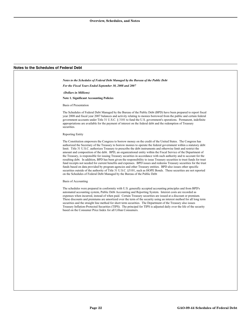*Notes to the Schedules of Federal Debt Managed by the Bureau of the Public Debt* 

#### <span id="page-24-0"></span>**Notes to the Schedules of Federal Debt**

*For the Fiscal Years Ended September 30, 2008 and 2007 (Dollars in Millions)*  **Note 1. Significant Accounting Policies**  Basis of Presentation The Schedules of Federal Debt Managed by the Bureau of the Public Debt (BPD) have been prepared to report fiscal year 2008 and fiscal year 2007 balances and activity relating to monies borrowed from the public and certain federal government accounts under Title 31 U.S.C. § 3101 to fund the U.S. government's operations. Permanent, indefinite appropriations are available for the payment of interest on the federal debt and the redemption of Treasury

#### Reporting Entity

securities.

The Constitution empowers the Congress to borrow money on the credit of the United States. The Congress has authorized the Secretary of the Treasury to borrow monies to operate the federal government within a statutory debt limit. Title 31 U.S.C. authorizes Treasury to prescribe the debt instruments and otherwise limit and restrict the amount and composition of the debt. BPD, an organizational entity within the Fiscal Service of the Department of the Treasury, is responsible for issuing Treasury securities in accordance with such authority and to account for the resulting debt. In addition, BPD has been given the responsibility to issue Treasury securities to trust funds for trust fund receipts not needed for current benefits and expenses. BPD issues and redeems Treasury securities for the trust funds based on data provided by program agencies and other Treasury entities. BPD also issues other specific securities outside of the authority of Title 31 U.S.C. §3101, such as HOPE Bonds. These securities are not reported on the Schedules of Federal Debt Managed by the Bureau of the Public Debt

#### Basis of Accounting

The schedules were prepared in conformity with U.S. generally accepted accounting principles and from BPD's automated accounting system, Public Debt Accounting and Reporting System. Interest costs are recorded as expenses when incurred, instead of when paid. Certain Treasury securities are issued at a discount or premium. These discounts and premiums are amortized over the term of the security using an interest method for all long term securities and the straight line method for short term securities. The Department of the Treasury also issues Treasury Inflation-Protected Securities (TIPS). The principal for TIPS is adjusted daily over the life of the security based on the Consumer Price Index for all Urban Consumers.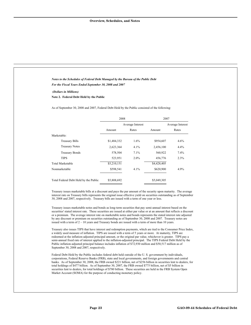| Notes to the Schedules of Federal Debt Managed by the Bureau of the Public Debt |
|---------------------------------------------------------------------------------|
| For the Fiscal Years Ended September 30, 2008 and 2007                          |

#### *(Dollars in Millions)*

**Note 2. Federal Debt Held by the Public** 

As of September 30, 2008 and 2007, Federal Debt Held by the Public consisted of the following:

|                                       | 2008        |                  | 2007        |                  |  |
|---------------------------------------|-------------|------------------|-------------|------------------|--|
|                                       |             | Average Interest |             | Average Interest |  |
|                                       | Amount      | Rates            | Amount      | Rates            |  |
| Marketable:                           |             |                  |             |                  |  |
| <b>Treasury Bills</b>                 | \$1,484,332 | $1.6\%$          | \$954,607   | 4.6%             |  |
| <b>Treasury Notes</b>                 | 2,623,364   | 4.1%             | 2,456,100   | 4.4%             |  |
| <b>Treasury Bonds</b>                 | 578,504     | 7.1%             | 560,922     | 7.4%             |  |
| <b>TIPS</b>                           | 523,951     | 2.0%             | 456,776     | 2.3%             |  |
| Total Marketable                      | \$5,210,151 |                  | \$4,428,405 |                  |  |
| Nonmarketable                         | \$598,541   | 4.1%             | \$620,900   | 4.9%             |  |
| Total Federal Debt Held by the Public | \$5,808,692 |                  | \$5,049,305 |                  |  |

Treasury issues marketable bills at a discount and pays the par amount of the security upon maturity. The average interest rate on Treasury bills represents the original issue effective yield on securities outstanding as of September 30, 2008 and 2007, respectively. Treasury bills are issued with a term of one year or less.

Treasury issues marketable notes and bonds as long-term securities that pay semi-annual interest based on the securities' stated interest rate. These securities are issued at either par value or at an amount that reflects a discount or a premium. The average interest rate on marketable notes and bonds represents the stated interest rate adjusted by any discount or premium on securities outstanding as of September 30, 2008 and 2007. Treasury notes are issued with a term of  $2 - 10$  years and Treasury bonds are issued with a term of more than 10 years.

Treasury also issues TIPS that have interest and redemption payments, which are tied to the Consumer Price Index, a widely used measure of inflation. TIPS are issued with a term of 5 years or more. At maturity, TIPS are redeemed at the inflation-adjusted principal amount, or the original par value, whichever is greater. TIPS pay a semi-annual fixed rate of interest applied to the inflation-adjusted principal. The TIPS Federal Debt Held by the Public inflation-adjusted principal balance includes inflation of \$72,930 million and \$50,517 million as of September 30, 2008 and 2007, respectively.

Federal Debt Held by the Public includes federal debt held outside of the U. S. government by individuals, corporations, Federal Reserve Banks (FRB), state and local governments, and foreign governments and central banks. As of September 30, 2008, the FRB owned \$221 billion, net of \$256 billion in securities lent to dealers, for total holdings of \$477 billion. As of September 30, 2007, the FRB owned \$775 billion, net of \$5 billion in securities lent to dealers, for total holdings of \$780 billion. These securities are held in the FRB System Open Market Account (SOMA) for the purpose of conducting monetary policy.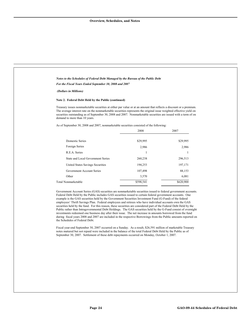| For the Fiscal Years Ended September 30, 2008 and 2007                                                                                                                                                                                                                                                                                                                                                                                                                                                                                                                                                                                                                                                                                                                                                                                                                                                                                                                                                                                                                                                                                                                                          | Notes to the Schedules of Federal Debt Managed by the Bureau of the Public Debt |                                                                                              |
|-------------------------------------------------------------------------------------------------------------------------------------------------------------------------------------------------------------------------------------------------------------------------------------------------------------------------------------------------------------------------------------------------------------------------------------------------------------------------------------------------------------------------------------------------------------------------------------------------------------------------------------------------------------------------------------------------------------------------------------------------------------------------------------------------------------------------------------------------------------------------------------------------------------------------------------------------------------------------------------------------------------------------------------------------------------------------------------------------------------------------------------------------------------------------------------------------|---------------------------------------------------------------------------------|----------------------------------------------------------------------------------------------|
|                                                                                                                                                                                                                                                                                                                                                                                                                                                                                                                                                                                                                                                                                                                                                                                                                                                                                                                                                                                                                                                                                                                                                                                                 |                                                                                 |                                                                                              |
| (Dollars in Millions)                                                                                                                                                                                                                                                                                                                                                                                                                                                                                                                                                                                                                                                                                                                                                                                                                                                                                                                                                                                                                                                                                                                                                                           |                                                                                 |                                                                                              |
| Note 2. Federal Debt Held by the Public (continued)                                                                                                                                                                                                                                                                                                                                                                                                                                                                                                                                                                                                                                                                                                                                                                                                                                                                                                                                                                                                                                                                                                                                             |                                                                                 |                                                                                              |
| Treasury issues nonmarketable securities at either par value or at an amount that reflects a discount or a premium.<br>The average interest rate on the nonmarketable securities represents the original issue weighted effective yield on<br>securities outstanding as of September 30, 2008 and 2007. Nonmarketable securities are issued with a term of on<br>demand to more than 10 years.                                                                                                                                                                                                                                                                                                                                                                                                                                                                                                                                                                                                                                                                                                                                                                                                  |                                                                                 |                                                                                              |
| As of September 30, 2008 and 2007, nonmarketable securities consisted of the following:                                                                                                                                                                                                                                                                                                                                                                                                                                                                                                                                                                                                                                                                                                                                                                                                                                                                                                                                                                                                                                                                                                         |                                                                                 |                                                                                              |
|                                                                                                                                                                                                                                                                                                                                                                                                                                                                                                                                                                                                                                                                                                                                                                                                                                                                                                                                                                                                                                                                                                                                                                                                 | 2008                                                                            | 2007                                                                                         |
| <b>Domestic Series</b>                                                                                                                                                                                                                                                                                                                                                                                                                                                                                                                                                                                                                                                                                                                                                                                                                                                                                                                                                                                                                                                                                                                                                                          | \$29,995                                                                        | \$29,995                                                                                     |
| Foreign Series                                                                                                                                                                                                                                                                                                                                                                                                                                                                                                                                                                                                                                                                                                                                                                                                                                                                                                                                                                                                                                                                                                                                                                                  | 2,986                                                                           | 2,986                                                                                        |
| R.E.A. Series                                                                                                                                                                                                                                                                                                                                                                                                                                                                                                                                                                                                                                                                                                                                                                                                                                                                                                                                                                                                                                                                                                                                                                                   | $\mathbf{1}$                                                                    | 1                                                                                            |
| State and Local Government Series                                                                                                                                                                                                                                                                                                                                                                                                                                                                                                                                                                                                                                                                                                                                                                                                                                                                                                                                                                                                                                                                                                                                                               | 260,238                                                                         | 296,513                                                                                      |
| United States Savings Securities                                                                                                                                                                                                                                                                                                                                                                                                                                                                                                                                                                                                                                                                                                                                                                                                                                                                                                                                                                                                                                                                                                                                                                | 194,253                                                                         | 197,171                                                                                      |
| Government Account Series                                                                                                                                                                                                                                                                                                                                                                                                                                                                                                                                                                                                                                                                                                                                                                                                                                                                                                                                                                                                                                                                                                                                                                       | 107,498                                                                         | 88,153                                                                                       |
| Other                                                                                                                                                                                                                                                                                                                                                                                                                                                                                                                                                                                                                                                                                                                                                                                                                                                                                                                                                                                                                                                                                                                                                                                           | 3,570                                                                           | 6,081                                                                                        |
| Total Nonmarketable                                                                                                                                                                                                                                                                                                                                                                                                                                                                                                                                                                                                                                                                                                                                                                                                                                                                                                                                                                                                                                                                                                                                                                             | \$598,541                                                                       | \$620,900                                                                                    |
| Government Account Series (GAS) securities are nonmarketable securities issued to federal government accounts.<br>Federal Debt Held by the Public includes GAS securities issued to certain federal government accounts. One<br>example is the GAS securities held by the Government Securities Investment Fund (G-Fund) of the federal<br>employees' Thrift Savings Plan. Federal employees and retirees who have individual accounts own the GAS<br>securities held by the fund. For this reason, these securities are considered part of the Federal Debt Held by the<br>Public rather than Intragovernmental Debt Holdings. The GAS securities held by the G-Fund consist of overnight<br>investments redeemed one business day after their issue. The net increase in amounts borrowed from the fund<br>during fiscal years 2008 and 2007 are included in the respective Borrowings from the Public amounts reported on<br>the Schedules of Federal Debt.<br>Fiscal year-end September 30, 2007 occurred on a Sunday. As a result, \$26,591 million of marketable Treasury<br>notes matured but not repaid were included in the balance of the total Federal Debt Held by the Public as of |                                                                                 | September 30, 2007. Settlement of these debt repayments occurred on Monday, October 1, 2007. |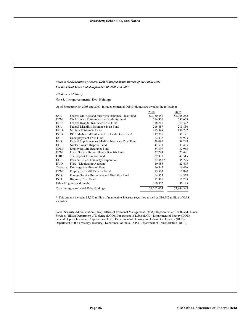| Notes to the Schedules of Federal Debt Managed by the Bureau of the Public Debt                                                                                                                                                                                                                                                                                                                                                                                                                                                                                                                                                                                                                                                                                                                                                                                                                 |                                                                                                                                                                                                                  |                                                                                                                                                                                                             |
|-------------------------------------------------------------------------------------------------------------------------------------------------------------------------------------------------------------------------------------------------------------------------------------------------------------------------------------------------------------------------------------------------------------------------------------------------------------------------------------------------------------------------------------------------------------------------------------------------------------------------------------------------------------------------------------------------------------------------------------------------------------------------------------------------------------------------------------------------------------------------------------------------|------------------------------------------------------------------------------------------------------------------------------------------------------------------------------------------------------------------|-------------------------------------------------------------------------------------------------------------------------------------------------------------------------------------------------------------|
| For the Fiscal Years Ended September 30, 2008 and 2007                                                                                                                                                                                                                                                                                                                                                                                                                                                                                                                                                                                                                                                                                                                                                                                                                                          |                                                                                                                                                                                                                  |                                                                                                                                                                                                             |
| (Dollars in Millions)                                                                                                                                                                                                                                                                                                                                                                                                                                                                                                                                                                                                                                                                                                                                                                                                                                                                           |                                                                                                                                                                                                                  |                                                                                                                                                                                                             |
| <b>Note 3. Intragovernmental Debt Holdings</b>                                                                                                                                                                                                                                                                                                                                                                                                                                                                                                                                                                                                                                                                                                                                                                                                                                                  |                                                                                                                                                                                                                  |                                                                                                                                                                                                             |
| As of September 30, 2008 and 2007, Intragovernmental Debt Holdings are owed to the following:                                                                                                                                                                                                                                                                                                                                                                                                                                                                                                                                                                                                                                                                                                                                                                                                   |                                                                                                                                                                                                                  |                                                                                                                                                                                                             |
| SSA:<br>Federal Old-Age and Survivors Insurance Trust Fund<br>OPM:<br>Civil Service Retirement and Disability Fund<br>Federal Hospital Insurance Trust Fund<br>HHS:<br>SSA:<br>Federal Disability Insurance Trust Fund<br>DOD:<br>Military Retirement Fund<br>DOD:<br>DOD Medicare-Eligible Retiree Health Care Fund<br>DOL:<br>Unemployment Trust Fund<br>HHS:<br>Federal Supplementary Medical Insurance Trust Fund<br>DOE:<br>Nuclear Waste Disposal Fund<br>OPM:<br>Employees Life Insurance Fund<br>OPM:<br>Postal Service Retiree Health Benefits Fund<br>FDIC:<br>The Deposit Insurance Fund<br>DOL:<br>Pension Benefit Guaranty Corporation<br>HUD:<br>FHA - Liquidating Account<br>Treasury: Exchange Stabilization Fund<br>OPM:<br>Employees Health Benefits Fund<br>DOS:<br>Foreign Service Retirement and Disability Fund<br>DOT:<br>Highway Trust Fund<br>Other Programs and Funds | 2008<br>\$2,150,651<br>714,850<br>318,741<br>216,487<br>215,949<br>112,726<br>72,432<br>59,090<br>42,570<br>34,397<br>32,294<br>29,937<br>$22,367*$<br>19,085<br>16,847<br>15,563<br>14,855<br>12,811<br>100,352 | 2007<br>\$1,968,262<br>687,665<br>319,377<br>213,830<br>190,232<br>92,191<br>74,923<br>39,248<br>39,435<br>32,965<br>25,491<br>47,515<br>35,775<br>22,405<br>16,436<br>15,890<br>14,378<br>12,205<br>96,125 |
|                                                                                                                                                                                                                                                                                                                                                                                                                                                                                                                                                                                                                                                                                                                                                                                                                                                                                                 |                                                                                                                                                                                                                  |                                                                                                                                                                                                             |
| Total Intragovernmental Debt Holdings<br>* This amount includes \$5,580 million of marketable Treasury securities as well as \$16,787 million of GAS<br>securities.                                                                                                                                                                                                                                                                                                                                                                                                                                                                                                                                                                                                                                                                                                                             | \$4,202,004                                                                                                                                                                                                      | \$3,944,348                                                                                                                                                                                                 |
| Social Security Administration (SSA); Office of Personnel Management (OPM); Department of Health and Human<br>Services (HHS); Department of Defense (DOD); Department of Labor (DOL); Department of Energy (DOE);<br>Federal Deposit Insurance Corporation (FDIC); Department of Housing and Urban Development (HUD);<br>Department of the Treasury (Treasury); Department of State (DOS); Department of Transportation (DOT).                                                                                                                                                                                                                                                                                                                                                                                                                                                                  |                                                                                                                                                                                                                  |                                                                                                                                                                                                             |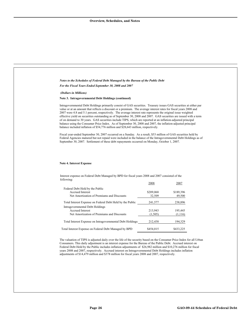| Notes to the Schedules of Federal Debt Managed by the Bureau of the Public Debt                                                                                                                                                                                                                                                                                                                                                                                                                                                                                                                                                                                                                                                                                                                                                                                                                                                                                                                                                                                                                                                           |                     |                     |
|-------------------------------------------------------------------------------------------------------------------------------------------------------------------------------------------------------------------------------------------------------------------------------------------------------------------------------------------------------------------------------------------------------------------------------------------------------------------------------------------------------------------------------------------------------------------------------------------------------------------------------------------------------------------------------------------------------------------------------------------------------------------------------------------------------------------------------------------------------------------------------------------------------------------------------------------------------------------------------------------------------------------------------------------------------------------------------------------------------------------------------------------|---------------------|---------------------|
| For the Fiscal Years Ended September 30, 2008 and 2007                                                                                                                                                                                                                                                                                                                                                                                                                                                                                                                                                                                                                                                                                                                                                                                                                                                                                                                                                                                                                                                                                    |                     |                     |
| (Dollars in Millions)                                                                                                                                                                                                                                                                                                                                                                                                                                                                                                                                                                                                                                                                                                                                                                                                                                                                                                                                                                                                                                                                                                                     |                     |                     |
| Note 3. Intragovernmental Debt Holdings (continued)                                                                                                                                                                                                                                                                                                                                                                                                                                                                                                                                                                                                                                                                                                                                                                                                                                                                                                                                                                                                                                                                                       |                     |                     |
| Intragovernmental Debt Holdings primarily consist of GAS securities. Treasury issues GAS securities at either par<br>value or at an amount that reflects a discount or a premium. The average interest rates for fiscal years 2008 and<br>2007 were 4.8 and 5.1 percent, respectively. The average interest rate represents the original issue weighted<br>effective yield on securities outstanding as of September 30, 2008 and 2007. GAS securities are issued with a term<br>of on demand to 30 years. GAS securities include TIPS, which are reported at an inflation-adjusted principal<br>balance using the Consumer Price Index. As of September 30, 2008 and 2007, the inflation-adjusted principal<br>balance included inflation of \$54,776 million and \$28,643 million, respectively.<br>Fiscal year-ended September 30, 2007 occurred on a Sunday. As a result, \$53 million of GAS securities held by<br>Federal Agencies matured but not repaid were included in the balance of the Intragovernmental Debt Holdings as of<br>September 30, 2007. Settlement of these debt repayments occurred on Monday, October 1, 2007. |                     |                     |
|                                                                                                                                                                                                                                                                                                                                                                                                                                                                                                                                                                                                                                                                                                                                                                                                                                                                                                                                                                                                                                                                                                                                           |                     |                     |
| <b>Note 4. Interest Expense</b><br>Interest expense on Federal Debt Managed by BPD for fiscal years 2008 and 2007 consisted of the                                                                                                                                                                                                                                                                                                                                                                                                                                                                                                                                                                                                                                                                                                                                                                                                                                                                                                                                                                                                        |                     |                     |
| following:                                                                                                                                                                                                                                                                                                                                                                                                                                                                                                                                                                                                                                                                                                                                                                                                                                                                                                                                                                                                                                                                                                                                | 2008                | 2007                |
| Federal Debt Held by the Public<br>Accrued Interest<br>Net Amortization of Premiums and Discounts                                                                                                                                                                                                                                                                                                                                                                                                                                                                                                                                                                                                                                                                                                                                                                                                                                                                                                                                                                                                                                         | \$209,068<br>32,509 | \$189,396<br>49,500 |
| Total Interest Expense on Federal Debt Held by the Public                                                                                                                                                                                                                                                                                                                                                                                                                                                                                                                                                                                                                                                                                                                                                                                                                                                                                                                                                                                                                                                                                 | 241,577             | 238,896             |
| Intragovernmental Debt Holdings<br>Accrued Interest                                                                                                                                                                                                                                                                                                                                                                                                                                                                                                                                                                                                                                                                                                                                                                                                                                                                                                                                                                                                                                                                                       | 213,943             | 195,445             |
| Net Amortization of Premiums and Discounts<br>Total Interest Expense on Intragovernmental Debt Holdings                                                                                                                                                                                                                                                                                                                                                                                                                                                                                                                                                                                                                                                                                                                                                                                                                                                                                                                                                                                                                                   | (1,505)<br>212,438  | (1,116)<br>194,329  |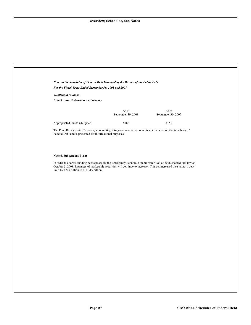| Notes to the Schedules of Federal Debt Managed by the Bureau of the Public Debt                                                                                                                                                                                                        |                             |                             |  |
|----------------------------------------------------------------------------------------------------------------------------------------------------------------------------------------------------------------------------------------------------------------------------------------|-----------------------------|-----------------------------|--|
| For the Fiscal Years Ended September 30, 2008 and 2007                                                                                                                                                                                                                                 |                             |                             |  |
| (Dollars in Millions)                                                                                                                                                                                                                                                                  |                             |                             |  |
| Note 5. Fund Balance With Treasury                                                                                                                                                                                                                                                     |                             |                             |  |
|                                                                                                                                                                                                                                                                                        | As of<br>September 30, 2008 | As of<br>September 30, 2007 |  |
| Appropriated Funds Obligated                                                                                                                                                                                                                                                           | \$168                       | \$156                       |  |
| The Fund Balance with Treasury, a non-entity, intragovernmental account, is not included on the Schedules of<br>Federal Debt and is presented for informational purposes.                                                                                                              |                             |                             |  |
| Note 6. Subsequent Event                                                                                                                                                                                                                                                               |                             |                             |  |
|                                                                                                                                                                                                                                                                                        |                             |                             |  |
| In order to address funding needs posed by the Emergency Economic Stabilization Act of 2008 enacted into law on<br>October 3, 2008, issuances of marketable securities will continue to increase. This act increased the statutory debt<br>limit by \$700 billion to \$11,315 billion. |                             |                             |  |
|                                                                                                                                                                                                                                                                                        |                             |                             |  |
|                                                                                                                                                                                                                                                                                        |                             |                             |  |
|                                                                                                                                                                                                                                                                                        |                             |                             |  |
|                                                                                                                                                                                                                                                                                        |                             |                             |  |
|                                                                                                                                                                                                                                                                                        |                             |                             |  |
|                                                                                                                                                                                                                                                                                        |                             |                             |  |
|                                                                                                                                                                                                                                                                                        |                             |                             |  |
|                                                                                                                                                                                                                                                                                        |                             |                             |  |
|                                                                                                                                                                                                                                                                                        |                             |                             |  |
|                                                                                                                                                                                                                                                                                        |                             |                             |  |
|                                                                                                                                                                                                                                                                                        |                             |                             |  |
|                                                                                                                                                                                                                                                                                        |                             |                             |  |
|                                                                                                                                                                                                                                                                                        |                             |                             |  |
|                                                                                                                                                                                                                                                                                        |                             |                             |  |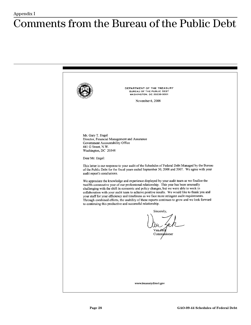## <span id="page-30-0"></span>**Comments from the Bureau of the Public Debt**

DEPARTMENT OF THE TREASURY BUREAU OF THE PUBLIC DEBT **WASHINGTON, DC 20239-0001** November 6, 2008 Mr. Gary T. Engel Director, Financial Management and Assurance Government Accountability Office 441 G Street, N.W. Washington, DC 20548 Dear Mr. Engel: This letter is our response to your audit of the Schedules of Federal Debt Managed by the Bureau of the Public Debt for the fiscal years ended September 30, 2008 and 2007. We agree with your audit report's conclusions. We appreciate the knowledge and experience displayed by your audit team as we finalize the twelfth consecutive year of our professional relationship. This year has been unusually challenging with the shift in economic and policy changes, but we were able to work in collaboration with your audit team to achieve positive results. We would like to thank you and your staff for your efficiency and timeliness as we face more stringent audit requirements. Through combined efforts, the usability of these reports continues to grow and we look forward to continuing this productive and successful relationship. Sincerely,  $\overline{\text{VanZec}}$ Commissioner www.treasurydirect.gov